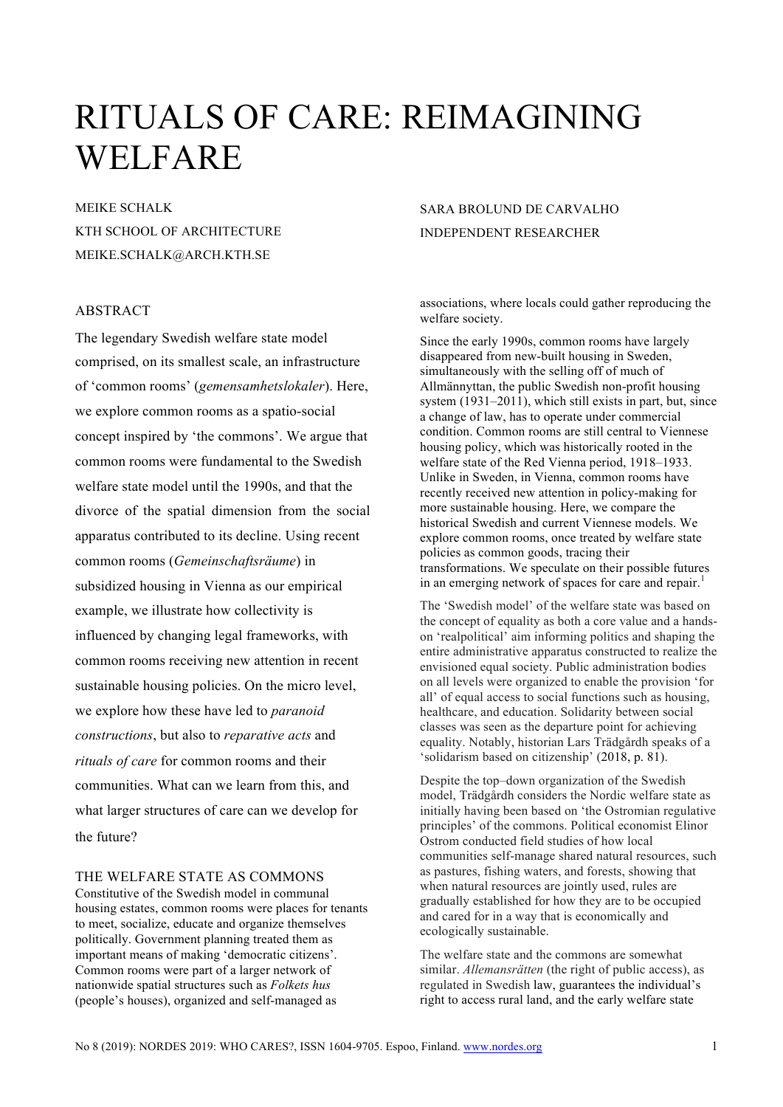# RITUALS OF CARE: REIMAGINING WELFARE

MEIKE SCHALK KTH SCHOOL OF ARCHITECTURE MEIKE.SCHALK@ARCH.KTH.SE

## ABSTRACT

The legendary Swedish welfare state model comprised, on its smallest scale, an infrastructure of 'common rooms' (*gemensamhetslokaler*). Here, we explore common rooms as a spatio-social concept inspired by 'the commons'. We argue that common rooms were fundamental to the Swedish welfare state model until the 1990s, and that the divorce of the spatial dimension from the social apparatus contributed to its decline. Using recent common rooms (*Gemeinschaftsräume*) in subsidized housing in Vienna as our empirical example, we illustrate how collectivity is influenced by changing legal frameworks, with common rooms receiving new attention in recent sustainable housing policies. On the micro level, we explore how these have led to *paranoid constructions*, but also to *reparative acts* and *rituals of care* for common rooms and their communities. What can we learn from this, and what larger structures of care can we develop for the future?

THE WELFARE STATE AS COMMONS

Constitutive of the Swedish model in communal housing estates, common rooms were places for tenants to meet, socialize, educate and organize themselves politically. Government planning treated them as important means of making 'democratic citizens'. Common rooms were part of a larger network of nationwide spatial structures such as *Folkets hus* (people's houses), organized and self-managed as

# SARA BROLUND DE CARVALHO INDEPENDENT RESEARCHER

associations, where locals could gather reproducing the welfare society.

Since the early 1990s, common rooms have largely disappeared from new-built housing in Sweden, simultaneously with the selling off of much of Allmännyttan, the public Swedish non-profit housing system (1931–2011), which still exists in part, but, since a change of law, has to operate under commercial condition. Common rooms are still central to Viennese housing policy, which was historically rooted in the welfare state of the Red Vienna period, 1918–1933. Unlike in Sweden, in Vienna, common rooms have recently received new attention in policy-making for more sustainable housing. Here, we compare the historical Swedish and current Viennese models. We explore common rooms, once treated by welfare state policies as common goods, tracing their transformations. We speculate on their possible futures in an emerging network of spaces for care and repair.<sup>1</sup>

The 'Swedish model' of the welfare state was based on the concept of equality as both a core value and a handson 'realpolitical' aim informing politics and shaping the entire administrative apparatus constructed to realize the envisioned equal society. Public administration bodies on all levels were organized to enable the provision 'for all' of equal access to social functions such as housing, healthcare, and education. Solidarity between social classes was seen as the departure point for achieving equality. Notably, historian Lars Trädgårdh speaks of a 'solidarism based on citizenship' (2018, p. 81).

Despite the top–down organization of the Swedish model, Trädgårdh considers the Nordic welfare state as initially having been based on 'the Ostromian regulative principles' of the commons. Political economist Elinor Ostrom conducted field studies of how local communities self-manage shared natural resources, such as pastures, fishing waters, and forests, showing that when natural resources are jointly used, rules are gradually established for how they are to be occupied and cared for in a way that is economically and ecologically sustainable.

The welfare state and the commons are somewhat similar. *Allemansrätten* (the right of public access), as regulated in Swedish law, guarantees the individual's right to access rural land, and the early welfare state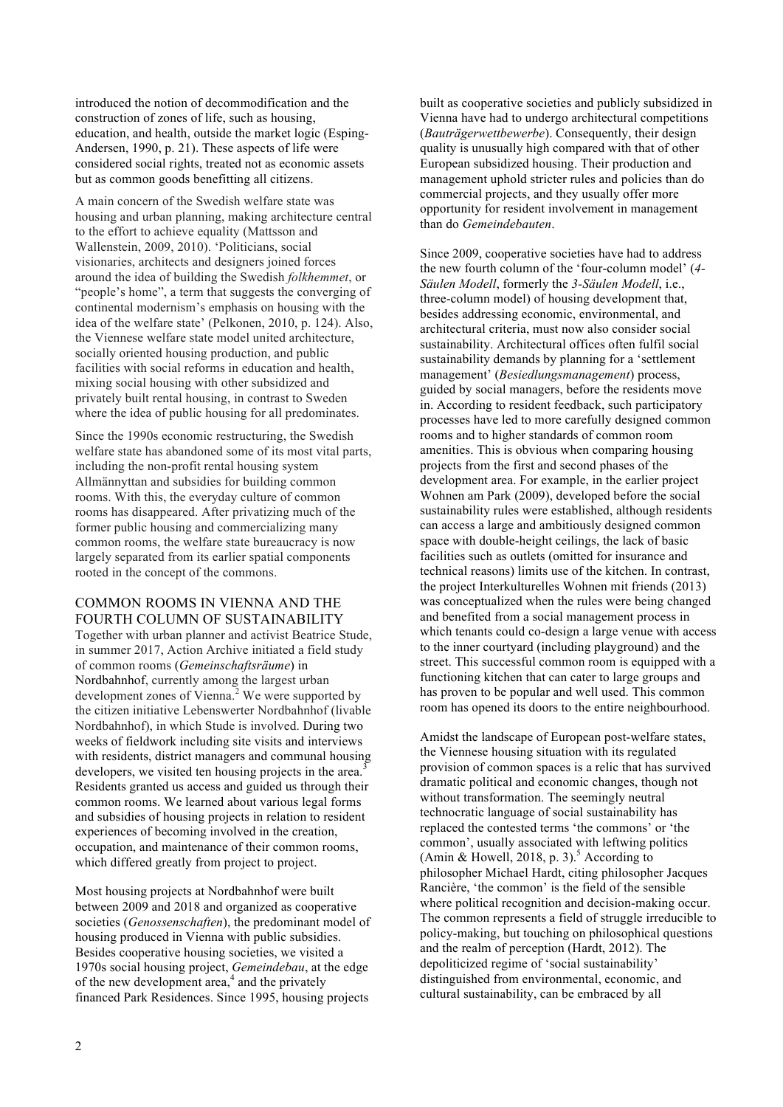introduced the notion of decommodification and the construction of zones of life, such as housing, education, and health, outside the market logic (Esping-Andersen, 1990, p. 21). These aspects of life were considered social rights, treated not as economic assets but as common goods benefitting all citizens.

A main concern of the Swedish welfare state was housing and urban planning, making architecture central to the effort to achieve equality (Mattsson and Wallenstein, 2009, 2010). 'Politicians, social visionaries, architects and designers joined forces around the idea of building the Swedish *folkhemmet*, or "people's home", a term that suggests the converging of continental modernism's emphasis on housing with the idea of the welfare state' (Pelkonen, 2010, p. 124). Also, the Viennese welfare state model united architecture, socially oriented housing production, and public facilities with social reforms in education and health, mixing social housing with other subsidized and privately built rental housing, in contrast to Sweden where the idea of public housing for all predominates.

Since the 1990s economic restructuring, the Swedish welfare state has abandoned some of its most vital parts, including the non-profit rental housing system Allmännyttan and subsidies for building common rooms. With this, the everyday culture of common rooms has disappeared. After privatizing much of the former public housing and commercializing many common rooms, the welfare state bureaucracy is now largely separated from its earlier spatial components rooted in the concept of the commons.

#### COMMON ROOMS IN VIENNA AND THE FOURTH COLUMN OF SUSTAINABILITY

Together with urban planner and activist Beatrice Stude, in summer 2017, Action Archive initiated a field study of common rooms (*Gemeinschaftsräume*) in Nordbahnhof, currently among the largest urban development zones of Vienna.<sup>2</sup> We were supported by the citizen initiative Lebenswerter Nordbahnhof (livable Nordbahnhof), in which Stude is involved. During two weeks of fieldwork including site visits and interviews with residents, district managers and communal housing developers, we visited ten housing projects in the area.<sup>3</sup> Residents granted us access and guided us through their common rooms. We learned about various legal forms and subsidies of housing projects in relation to resident experiences of becoming involved in the creation, occupation, and maintenance of their common rooms, which differed greatly from project to project.

Most housing projects at Nordbahnhof were built between 2009 and 2018 and organized as cooperative societies (*Genossenschaften*), the predominant model of housing produced in Vienna with public subsidies. Besides cooperative housing societies, we visited a 1970s social housing project, *Gemeindebau*, at the edge of the new development area,<sup>4</sup> and the privately financed Park Residences. Since 1995, housing projects

built as cooperative societies and publicly subsidized in Vienna have had to undergo architectural competitions (*Bauträgerwettbewerbe*). Consequently, their design quality is unusually high compared with that of other European subsidized housing. Their production and management uphold stricter rules and policies than do commercial projects, and they usually offer more opportunity for resident involvement in management than do *Gemeindebauten*.

Since 2009, cooperative societies have had to address the new fourth column of the 'four-column model' (*4- Säulen Modell*, formerly the *3-Säulen Modell*, i.e., three-column model) of housing development that, besides addressing economic, environmental, and architectural criteria, must now also consider social sustainability. Architectural offices often fulfil social sustainability demands by planning for a 'settlement management' (*Besiedlungsmanagement*) process, guided by social managers, before the residents move in. According to resident feedback, such participatory processes have led to more carefully designed common rooms and to higher standards of common room amenities. This is obvious when comparing housing projects from the first and second phases of the development area. For example, in the earlier project Wohnen am Park (2009), developed before the social sustainability rules were established, although residents can access a large and ambitiously designed common space with double-height ceilings, the lack of basic facilities such as outlets (omitted for insurance and technical reasons) limits use of the kitchen. In contrast, the project Interkulturelles Wohnen mit friends (2013) was conceptualized when the rules were being changed and benefited from a social management process in which tenants could co-design a large venue with access to the inner courtyard (including playground) and the street. This successful common room is equipped with a functioning kitchen that can cater to large groups and has proven to be popular and well used. This common room has opened its doors to the entire neighbourhood.

Amidst the landscape of European post-welfare states, the Viennese housing situation with its regulated provision of common spaces is a relic that has survived dramatic political and economic changes, though not without transformation. The seemingly neutral technocratic language of social sustainability has replaced the contested terms 'the commons' or 'the common', usually associated with leftwing politics (Amin & Howell, 2018, p. 3).<sup>5</sup> According to philosopher Michael Hardt, citing philosopher Jacques Rancière, 'the common' is the field of the sensible where political recognition and decision-making occur. The common represents a field of struggle irreducible to policy-making, but touching on philosophical questions and the realm of perception (Hardt, 2012). The depoliticized regime of 'social sustainability' distinguished from environmental, economic, and cultural sustainability, can be embraced by all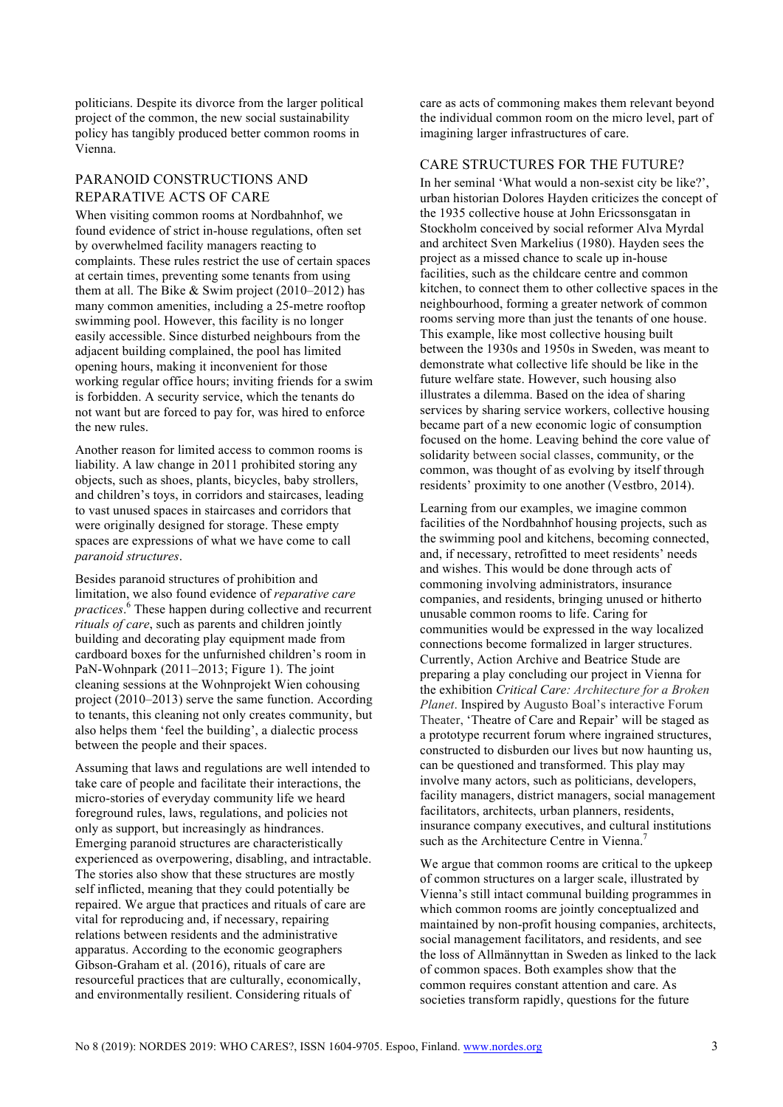politicians. Despite its divorce from the larger political project of the common, the new social sustainability policy has tangibly produced better common rooms in Vienna.

#### PARANOID CONSTRUCTIONS AND REPARATIVE ACTS OF CARE

When visiting common rooms at Nordbahnhof, we found evidence of strict in-house regulations, often set by overwhelmed facility managers reacting to complaints. These rules restrict the use of certain spaces at certain times, preventing some tenants from using them at all. The Bike  $&$  Swim project (2010–2012) has many common amenities, including a 25-metre rooftop swimming pool. However, this facility is no longer easily accessible. Since disturbed neighbours from the adjacent building complained, the pool has limited opening hours, making it inconvenient for those working regular office hours; inviting friends for a swim is forbidden. A security service, which the tenants do not want but are forced to pay for, was hired to enforce the new rules.

Another reason for limited access to common rooms is liability. A law change in 2011 prohibited storing any objects, such as shoes, plants, bicycles, baby strollers, and children's toys, in corridors and staircases, leading to vast unused spaces in staircases and corridors that were originally designed for storage. These empty spaces are expressions of what we have come to call *paranoid structures*.

Besides paranoid structures of prohibition and limitation, we also found evidence of *reparative care practices*. <sup>6</sup> These happen during collective and recurrent *rituals of care*, such as parents and children jointly building and decorating play equipment made from cardboard boxes for the unfurnished children's room in PaN-Wohnpark (2011–2013; Figure 1). The joint cleaning sessions at the Wohnprojekt Wien cohousing project (2010–2013) serve the same function. According to tenants, this cleaning not only creates community, but also helps them 'feel the building', a dialectic process between the people and their spaces.

Assuming that laws and regulations are well intended to take care of people and facilitate their interactions, the micro-stories of everyday community life we heard foreground rules, laws, regulations, and policies not only as support, but increasingly as hindrances. Emerging paranoid structures are characteristically experienced as overpowering, disabling, and intractable. The stories also show that these structures are mostly self inflicted, meaning that they could potentially be repaired. We argue that practices and rituals of care are vital for reproducing and, if necessary, repairing relations between residents and the administrative apparatus. According to the economic geographers Gibson-Graham et al. (2016), rituals of care are resourceful practices that are culturally, economically, and environmentally resilient. Considering rituals of

care as acts of commoning makes them relevant beyond the individual common room on the micro level, part of imagining larger infrastructures of care.

## CARE STRUCTURES FOR THE FUTURE?

In her seminal 'What would a non-sexist city be like?', urban historian Dolores Hayden criticizes the concept of the 1935 collective house at John Ericssonsgatan in Stockholm conceived by social reformer Alva Myrdal and architect Sven Markelius (1980). Hayden sees the project as a missed chance to scale up in-house facilities, such as the childcare centre and common kitchen, to connect them to other collective spaces in the neighbourhood, forming a greater network of common rooms serving more than just the tenants of one house. This example, like most collective housing built between the 1930s and 1950s in Sweden, was meant to demonstrate what collective life should be like in the future welfare state. However, such housing also illustrates a dilemma. Based on the idea of sharing services by sharing service workers, collective housing became part of a new economic logic of consumption focused on the home. Leaving behind the core value of solidarity between social classes, community, or the common, was thought of as evolving by itself through residents' proximity to one another (Vestbro, 2014).

Learning from our examples, we imagine common facilities of the Nordbahnhof housing projects, such as the swimming pool and kitchens, becoming connected, and, if necessary, retrofitted to meet residents' needs and wishes. This would be done through acts of commoning involving administrators, insurance companies, and residents, bringing unused or hitherto unusable common rooms to life. Caring for communities would be expressed in the way localized connections become formalized in larger structures. Currently, Action Archive and Beatrice Stude are preparing a play concluding our project in Vienna for the exhibition *Critical Care: Architecture for a Broken Planet*. Inspired by Augusto Boal's interactive Forum Theater, 'Theatre of Care and Repair' will be staged as a prototype recurrent forum where ingrained structures, constructed to disburden our lives but now haunting us, can be questioned and transformed. This play may involve many actors, such as politicians, developers, facility managers, district managers, social management facilitators, architects, urban planners, residents, insurance company executives, and cultural institutions such as the Architecture Centre in Vienna.<sup>7</sup>

We argue that common rooms are critical to the upkeep of common structures on a larger scale, illustrated by Vienna's still intact communal building programmes in which common rooms are jointly conceptualized and maintained by non-profit housing companies, architects, social management facilitators, and residents, and see the loss of Allmännyttan in Sweden as linked to the lack of common spaces. Both examples show that the common requires constant attention and care. As societies transform rapidly, questions for the future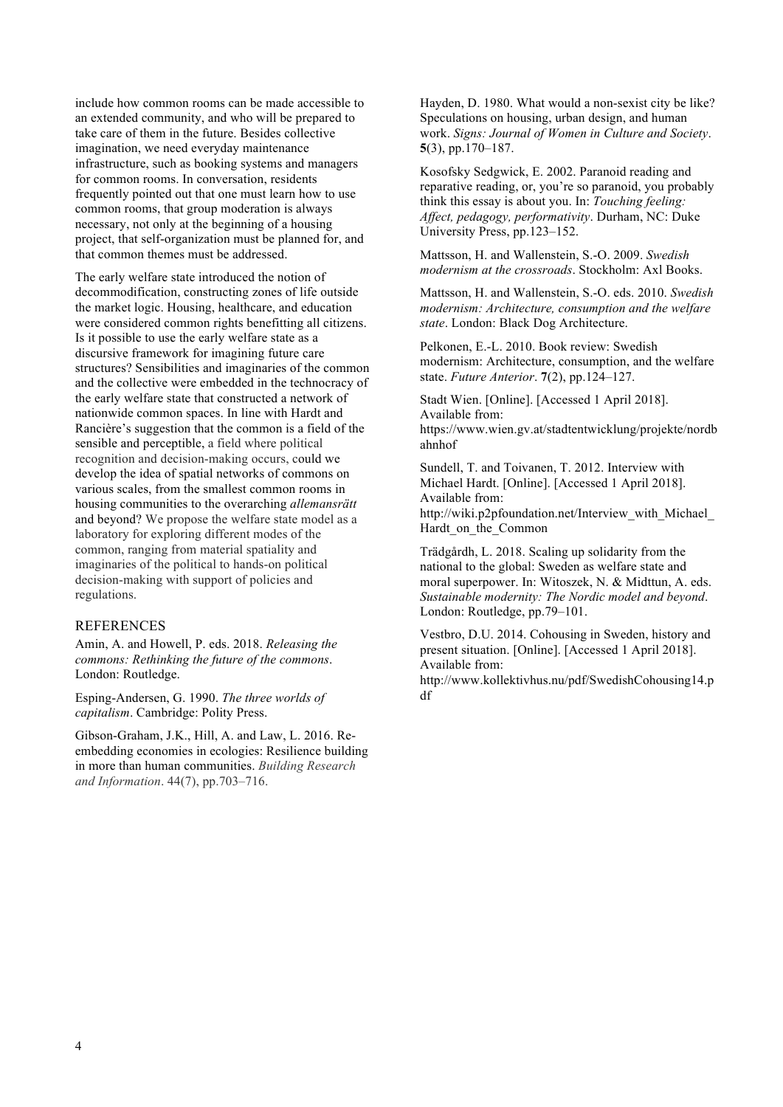include how common rooms can be made accessible to an extended community, and who will be prepared to take care of them in the future. Besides collective imagination, we need everyday maintenance infrastructure, such as booking systems and managers for common rooms. In conversation, residents frequently pointed out that one must learn how to use common rooms, that group moderation is always necessary, not only at the beginning of a housing project, that self-organization must be planned for, and that common themes must be addressed.

The early welfare state introduced the notion of decommodification, constructing zones of life outside the market logic. Housing, healthcare, and education were considered common rights benefitting all citizens. Is it possible to use the early welfare state as a discursive framework for imagining future care structures? Sensibilities and imaginaries of the common and the collective were embedded in the technocracy of the early welfare state that constructed a network of nationwide common spaces. In line with Hardt and Rancière's suggestion that the common is a field of the sensible and perceptible, a field where political recognition and decision-making occurs, could we develop the idea of spatial networks of commons on various scales, from the smallest common rooms in housing communities to the overarching *allemansrätt* and beyond? We propose the welfare state model as a laboratory for exploring different modes of the common, ranging from material spatiality and imaginaries of the political to hands-on political decision-making with support of policies and regulations.

#### REFERENCES

Amin, A. and Howell, P. eds. 2018. *Releasing the commons: Rethinking the future of the commons*. London: Routledge.

Esping-Andersen, G. 1990. *The three worlds of capitalism*. Cambridge: Polity Press.

Gibson-Graham, J.K., Hill, A. and Law, L. 2016. Reembedding economies in ecologies: Resilience building in more than human communities. *Building Research and Information*. 44(7), pp.703–716.

Hayden, D. 1980. What would a non-sexist city be like? Speculations on housing, urban design, and human work. *Signs: Journal of Women in Culture and Society*. **5**(3), pp.170–187.

Kosofsky Sedgwick, E. 2002. Paranoid reading and reparative reading, or, you're so paranoid, you probably think this essay is about you. In: *Touching feeling: Affect, pedagogy, performativity*. Durham, NC: Duke University Press, pp.123–152.

Mattsson, H. and Wallenstein, S.-O. 2009. *Swedish modernism at the crossroads*. Stockholm: Axl Books.

Mattsson, H. and Wallenstein, S.-O. eds. 2010. *Swedish modernism: Architecture, consumption and the welfare state*. London: Black Dog Architecture.

Pelkonen, E.-L. 2010. Book review: Swedish modernism: Architecture, consumption, and the welfare state. *Future Anterior*. **7**(2), pp.124–127.

Stadt Wien. [Online]. [Accessed 1 April 2018]. Available from: https://www.wien.gv.at/stadtentwicklung/projekte/nordb ahnhof

Sundell, T. and Toivanen, T. 2012. Interview with Michael Hardt. [Online]. [Accessed 1 April 2018]. Available from: http://wiki.p2pfoundation.net/Interview\_with\_Michael Hardt\_on\_the\_Common

Trädgårdh, L. 2018. Scaling up solidarity from the national to the global: Sweden as welfare state and moral superpower. In: Witoszek, N. & Midttun, A. eds. *Sustainable modernity: The Nordic model and beyond*. London: Routledge, pp.79–101.

Vestbro, D.U. 2014. Cohousing in Sweden, history and present situation. [Online]. [Accessed 1 April 2018]. Available from:

http://www.kollektivhus.nu/pdf/SwedishCohousing14.p df